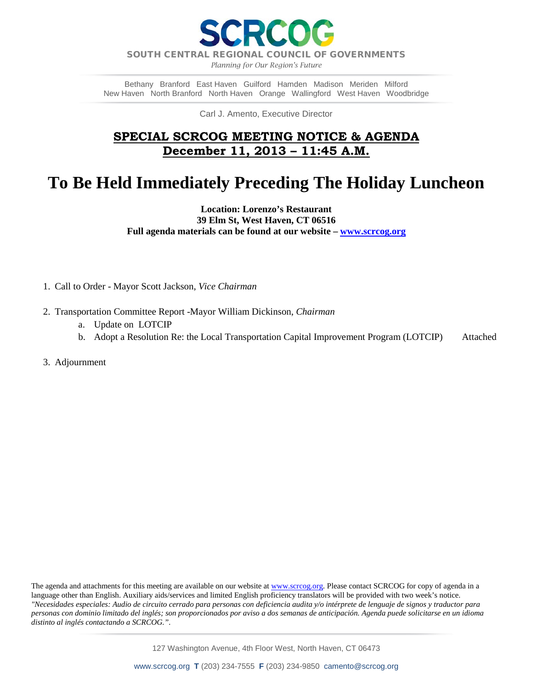

SOUTH CENTRAL REGIONAL COUNCIL OF GOVERNMENTS

*Planning for Our Region's Future*

Bethany Branford East Haven Guilford Hamden Madison Meriden Milford New Haven North Branford North Haven Orange Wallingford West Haven Woodbridge

Carl J. Amento, Executive Director

## **SPECIAL SCRCOG MEETING NOTICE & AGENDA December 11, 2013 – 11:45 A.M.**

# **To Be Held Immediately Preceding The Holiday Luncheon**

**Location: Lorenzo's Restaurant 39 Elm St, West Haven, CT 06516 Full agenda materials can be found at our website – www.scrcog.org**

- 1. Call to Order Mayor Scott Jackson, *Vice Chairman*
- 2. Transportation Committee Report -Mayor William Dickinson, *Chairman*
	- a. Update on LOTCIP
	- b. Adopt a Resolution Re: the Local Transportation Capital Improvement Program (LOTCIP) Attached
- 3. Adjournment

The agenda and attachments for this meeting are available on our website a[t www.scrcog.org.](http://www.scrcog.org/) Please contact SCRCOG for copy of agenda in a language other than English. Auxiliary aids/services and limited English proficiency translators will be provided with two week's notice. *"Necesidades especiales: Audio de circuito cerrado para personas con deficiencia audita y/o intérprete de lenguaje de signos y traductor para personas con dominio limitado del inglés; son proporcionados por aviso a dos semanas de anticipación. Agenda puede solicitarse en un idioma distinto al inglés contactando a SCRCOG.".*

127 Washington Avenue, 4th Floor West, North Haven, CT 06473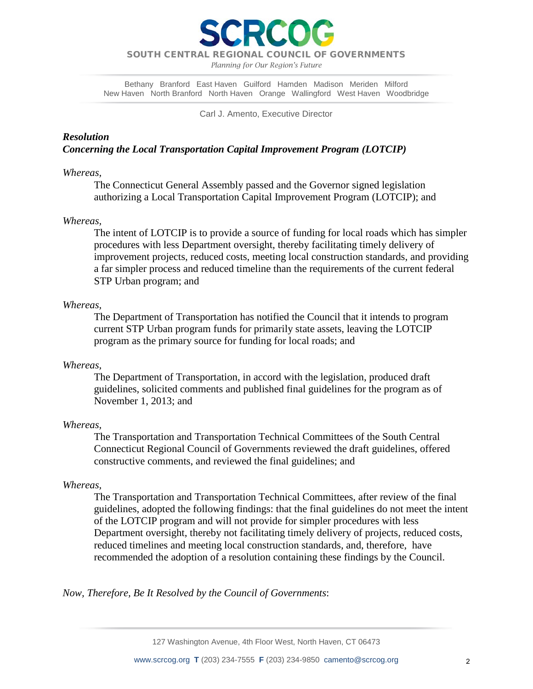

SOUTH CENTRAL REGIONAL COUNCIL OF GOVERNMENTS

*Planning for Our Region's Future*

Bethany Branford East Haven Guilford Hamden Madison Meriden Milford New Haven North Branford North Haven Orange Wallingford West Haven Woodbridge

Carl J. Amento, Executive Director

### *Resolution Concerning the Local Transportation Capital Improvement Program (LOTCIP)*

#### *Whereas,*

The Connecticut General Assembly passed and the Governor signed legislation authorizing a Local Transportation Capital Improvement Program (LOTCIP); and

#### *Whereas,*

The intent of LOTCIP is to provide a source of funding for local roads which has simpler procedures with less Department oversight, thereby facilitating timely delivery of improvement projects, reduced costs, meeting local construction standards, and providing a far simpler process and reduced timeline than the requirements of the current federal STP Urban program; and

#### *Whereas,*

The Department of Transportation has notified the Council that it intends to program current STP Urban program funds for primarily state assets, leaving the LOTCIP program as the primary source for funding for local roads; and

#### *Whereas,*

 The Department of Transportation, in accord with the legislation, produced draft guidelines, solicited comments and published final guidelines for the program as of November 1, 2013; and

#### *Whereas,*

The Transportation and Transportation Technical Committees of the South Central Connecticut Regional Council of Governments reviewed the draft guidelines, offered constructive comments, and reviewed the final guidelines; and

#### *Whereas,*

The Transportation and Transportation Technical Committees, after review of the final guidelines, adopted the following findings: that the final guidelines do not meet the intent of the LOTCIP program and will not provide for simpler procedures with less Department oversight, thereby not facilitating timely delivery of projects, reduced costs, reduced timelines and meeting local construction standards, and, therefore, have recommended the adoption of a resolution containing these findings by the Council.

*Now, Therefore, Be It Resolved by the Council of Governments*:

127 Washington Avenue, 4th Floor West, North Haven, CT 06473